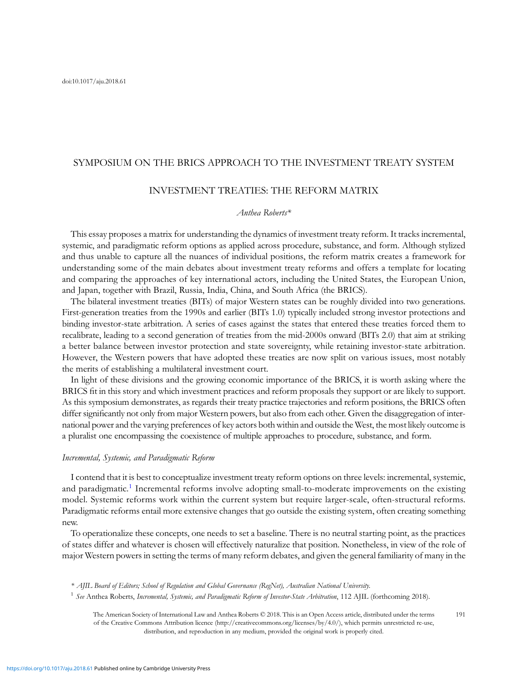## SYMPOSIUM ON THE BRICS APPROACH TO THE INVESTMENT TREATY SYSTEM

## INVESTMENT TREATIES: THE REFORM MATRIX

## Anthea Roberts\*

This essay proposes a matrix for understanding the dynamics of investment treaty reform. It tracks incremental, systemic, and paradigmatic reform options as applied across procedure, substance, and form. Although stylized and thus unable to capture all the nuances of individual positions, the reform matrix creates a framework for understanding some of the main debates about investment treaty reforms and offers a template for locating and comparing the approaches of key international actors, including the United States, the European Union, and Japan, together with Brazil, Russia, India, China, and South Africa (the BRICS).

The bilateral investment treaties (BITs) of major Western states can be roughly divided into two generations. First-generation treaties from the 1990s and earlier (BITs 1.0) typically included strong investor protections and binding investor-state arbitration. A series of cases against the states that entered these treaties forced them to recalibrate, leading to a second generation of treaties from the mid-2000s onward (BITs 2.0) that aim at striking a better balance between investor protection and state sovereignty, while retaining investor-state arbitration. However, the Western powers that have adopted these treaties are now split on various issues, most notably the merits of establishing a multilateral investment court.

In light of these divisions and the growing economic importance of the BRICS, it is worth asking where the BRICS fit in this story and which investment practices and reform proposals they support or are likely to support. As this symposium demonstrates, as regards their treaty practice trajectories and reform positions, the BRICS often differ significantly not only from major Western powers, but also from each other. Given the disaggregation of international power and the varying preferences of key actors both within and outside the West, the most likely outcome is a pluralist one encompassing the coexistence of multiple approaches to procedure, substance, and form.

### Incremental, Systemic, and Paradigmatic Reform

I contend that it is best to conceptualize investment treaty reform options on three levels: incremental, systemic, and paradigmatic.<sup>1</sup> Incremental reforms involve adopting small-to-moderate improvements on the existing model. Systemic reforms work within the current system but require larger-scale, often-structural reforms. Paradigmatic reforms entail more extensive changes that go outside the existing system, often creating something new.

To operationalize these concepts, one needs to set a baseline. There is no neutral starting point, as the practices of states differ and whatever is chosen will effectively naturalize that position. Nonetheless, in view of the role of major Western powers in setting the terms of many reform debates, and given the general familiarity of many in the

191

<sup>\*</sup> AJIL Board of Editors; School of Regulation and Global Governance (RegNet), Australian National University.

 $1$  See Anthea Roberts, Incremental, Systemic, and Paradigmatic Reform of Investor-State Arbitration, 112 AJIL (forthcoming 2018).

The American Society of International Law and Anthea Roberts © 2018. This is an Open Access article, distributed under the terms of the Creative Commons Attribution licence (http://creativecommons.org/licenses/by/4.0/), which permits unrestricted re-use, distribution, and reproduction in any medium, provided the original work is properly cited.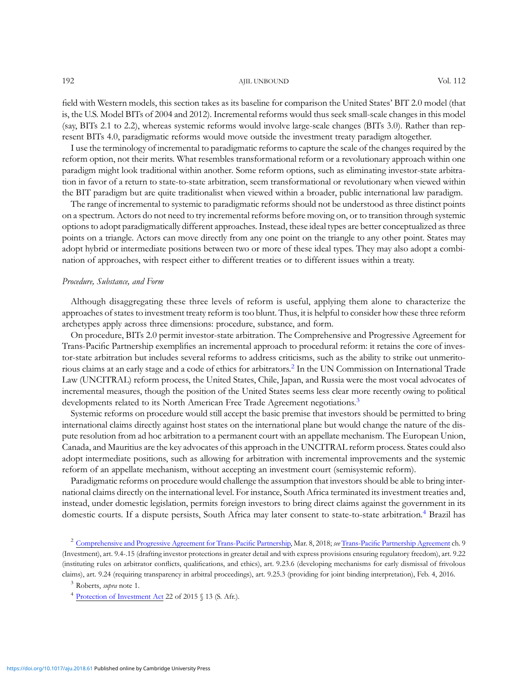#### 192 AJIL UNBOUND Vol. 112

field with Western models, this section takes as its baseline for comparison the United States' BIT 2.0 model (that is, the U.S. Model BITs of 2004 and 2012). Incremental reforms would thus seek small-scale changes in this model (say, BITs 2.1 to 2.2), whereas systemic reforms would involve large-scale changes (BITs 3.0). Rather than represent BITs 4.0, paradigmatic reforms would move outside the investment treaty paradigm altogether.

I use the terminology of incremental to paradigmatic reforms to capture the scale of the changes required by the reform option, not their merits. What resembles transformational reform or a revolutionary approach within one paradigm might look traditional within another. Some reform options, such as eliminating investor-state arbitration in favor of a return to state-to-state arbitration, seem transformational or revolutionary when viewed within the BIT paradigm but are quite traditionalist when viewed within a broader, public international law paradigm.

The range of incremental to systemic to paradigmatic reforms should not be understood as three distinct points on a spectrum. Actors do not need to try incremental reforms before moving on, or to transition through systemic options to adopt paradigmatically different approaches. Instead, these ideal types are better conceptualized as three points on a triangle. Actors can move directly from any one point on the triangle to any other point. States may adopt hybrid or intermediate positions between two or more of these ideal types. They may also adopt a combination of approaches, with respect either to different treaties or to different issues within a treaty.

#### Procedure, Substance, and Form

Although disaggregating these three levels of reform is useful, applying them alone to characterize the approaches of states to investment treaty reform is too blunt. Thus, it is helpful to consider how these three reform archetypes apply across three dimensions: procedure, substance, and form.

On procedure, BITs 2.0 permit investor-state arbitration. The Comprehensive and Progressive Agreement for Trans-Pacific Partnership exemplifies an incremental approach to procedural reform: it retains the core of investor-state arbitration but includes several reforms to address criticisms, such as the ability to strike out unmeritorious claims at an early stage and a code of ethics for arbitrators.2 In the UN Commission on International Trade Law (UNCITRAL) reform process, the United States, Chile, Japan, and Russia were the most vocal advocates of incremental measures, though the position of the United States seems less clear more recently owing to political developments related to its North American Free Trade Agreement negotiations.<sup>3</sup>

Systemic reforms on procedure would still accept the basic premise that investors should be permitted to bring international claims directly against host states on the international plane but would change the nature of the dispute resolution from ad hoc arbitration to a permanent court with an appellate mechanism. The European Union, Canada, and Mauritius are the key advocates of this approach in the UNCITRAL reform process. States could also adopt intermediate positions, such as allowing for arbitration with incremental improvements and the systemic reform of an appellate mechanism, without accepting an investment court (semisystemic reform).

Paradigmatic reforms on procedure would challenge the assumption that investors should be able to bring international claims directly on the international level. For instance, South Africa terminated its investment treaties and, instead, under domestic legislation, permits foreign investors to bring direct claims against the government in its domestic courts. If a dispute persists, South Africa may later consent to state-to-state arbitration.<sup>4</sup> Brazil has

<sup>2</sup> [Comprehensive and Progressive Agreement for Trans-Paci](http://www.trungtamwto.vn/sites/default/files/comprehensive-and-progressive-agreement-for-trans-pacific-partnership-cptpp-english.pdf)fic Partnership, Mar. 8, 2018; see Trans-Pacifi[c Partnership Agreement](http://tpp.mfat.govt.nz/text) ch. 9 (Investment), art. 9.4-.15 (drafting investor protections in greater detail and with express provisions ensuring regulatory freedom), art. 9.22 (instituting rules on arbitrator conflicts, qualifications, and ethics), art. 9.23.6 (developing mechanisms for early dismissal of frivolous claims), art. 9.24 (requiring transparency in arbitral proceedings), art. 9.25.3 (providing for joint binding interpretation), Feb. 4, 2016.

 $3$  Roberts, *subra* note 1.

<sup>4</sup> [Protection of Investment Act](https://www.gov.za/sites/default/files/39514_Act22of2015ProtectionOfInvestmentAct.pdf) 22 of 2015 § 13 (S. Afr.).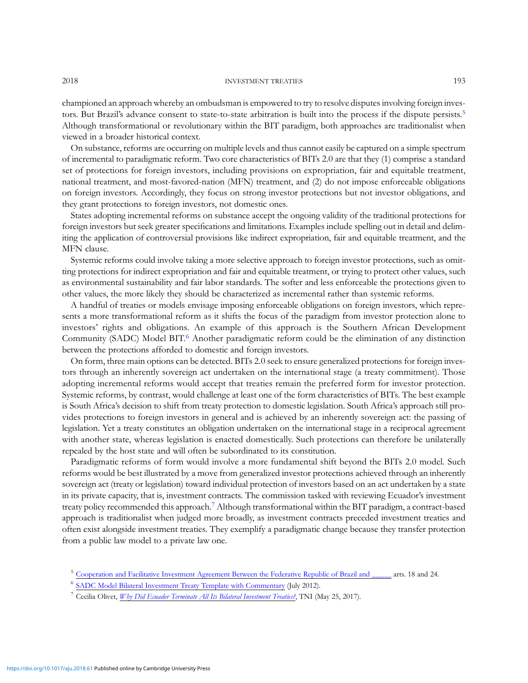## 2018 INVESTMENT TREATIES 193

championed an approach whereby an ombudsman is empowered to try to resolve disputes involving foreign investors. But Brazil's advance consent to state-to-state arbitration is built into the process if the dispute persists.<sup>5</sup> Although transformational or revolutionary within the BIT paradigm, both approaches are traditionalist when viewed in a broader historical context.

On substance, reforms are occurring on multiple levels and thus cannot easily be captured on a simple spectrum of incremental to paradigmatic reform. Two core characteristics of BITs 2.0 are that they (1) comprise a standard set of protections for foreign investors, including provisions on expropriation, fair and equitable treatment, national treatment, and most-favored-nation (MFN) treatment, and (2) do not impose enforceable obligations on foreign investors. Accordingly, they focus on strong investor protections but not investor obligations, and they grant protections to foreign investors, not domestic ones.

States adopting incremental reforms on substance accept the ongoing validity of the traditional protections for foreign investors but seek greater specifications and limitations. Examples include spelling out in detail and delimiting the application of controversial provisions like indirect expropriation, fair and equitable treatment, and the MFN clause.

Systemic reforms could involve taking a more selective approach to foreign investor protections, such as omitting protections for indirect expropriation and fair and equitable treatment, or trying to protect other values, such as environmental sustainability and fair labor standards. The softer and less enforceable the protections given to other values, the more likely they should be characterized as incremental rather than systemic reforms.

A handful of treaties or models envisage imposing enforceable obligations on foreign investors, which represents a more transformational reform as it shifts the focus of the paradigm from investor protection alone to investors' rights and obligations. An example of this approach is the Southern African Development Community (SADC) Model BIT.<sup>6</sup> Another paradigmatic reform could be the elimination of any distinction between the protections afforded to domestic and foreign investors.

On form, three main options can be detected. BITs 2.0 seek to ensure generalized protections for foreign investors through an inherently sovereign act undertaken on the international stage (a treaty commitment). Those adopting incremental reforms would accept that treaties remain the preferred form for investor protection. Systemic reforms, by contrast, would challenge at least one of the form characteristics of BITs. The best example is South Africa's decision to shift from treaty protection to domestic legislation. South Africa's approach still provides protections to foreign investors in general and is achieved by an inherently sovereign act: the passing of legislation. Yet a treaty constitutes an obligation undertaken on the international stage in a reciprocal agreement with another state, whereas legislation is enacted domestically. Such protections can therefore be unilaterally repealed by the host state and will often be subordinated to its constitution.

Paradigmatic reforms of form would involve a more fundamental shift beyond the BITs 2.0 model. Such reforms would be best illustrated by a move from generalized investor protections achieved through an inherently sovereign act (treaty or legislation) toward individual protection of investors based on an act undertaken by a state in its private capacity, that is, investment contracts. The commission tasked with reviewing Ecuador's investment treaty policy recommended this approach.7 Although transformational within the BIT paradigm, a contract-based approach is traditionalist when judged more broadly, as investment contracts preceded investment treaties and often exist alongside investment treaties. They exemplify a paradigmatic change because they transfer protection from a public law model to a private law one.

<sup>&</sup>lt;sup>5</sup> [Cooperation and Facilitative Investment Agreement Between the Federative Republic of Brazil and \\_\\_\\_\\_\\_](http://investmentpolicyhub.unctad.org/Download/TreatyFile/4786) arts. 18 and 24.

<sup>6</sup> [SADC Model Bilateral Investment Treaty Template with Commentary](http://www.iisd.org/itn/wp-content/uploads/2012/10/sadc-model-bit-template-final.pdf) (July 2012).

<sup>&</sup>lt;sup>7</sup> Cecilia Olivet, *[Why Did Ecuador Terminate All Its Bilateral Investment Treaties?](https://www.tni.org/en/article/why-did-ecuador-terminate-all-its-bilateral-investment-treaties)*, TNI (May 25, 2017).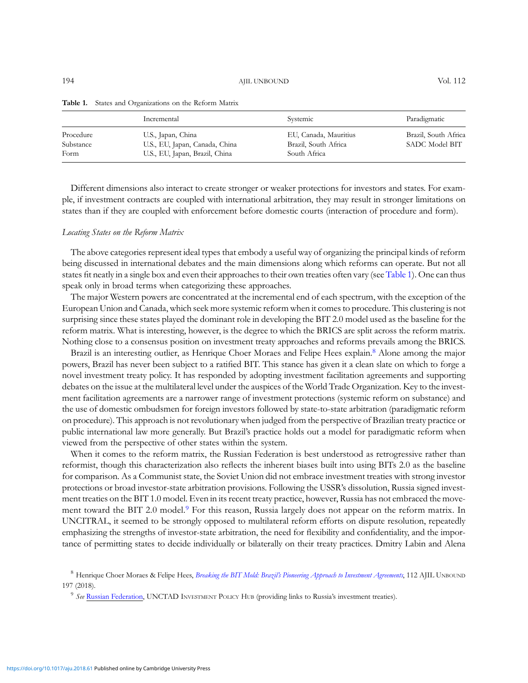|           | Incremental                    | Systemic              | Paradigmatic         |
|-----------|--------------------------------|-----------------------|----------------------|
| Procedure | U.S., Japan, China             | EU, Canada, Mauritius | Brazil, South Africa |
| Substance | U.S., EU, Japan, Canada, China | Brazil, South Africa  | SADC Model BIT       |
| Form      | U.S., EU, Japan, Brazil, China | South Africa          |                      |

Table 1. States and Organizations on the Reform Matrix

Different dimensions also interact to create stronger or weaker protections for investors and states. For example, if investment contracts are coupled with international arbitration, they may result in stronger limitations on states than if they are coupled with enforcement before domestic courts (interaction of procedure and form).

# Locating States on the Reform Matrix

The above categories represent ideal types that embody a useful way of organizing the principal kinds of reform being discussed in international debates and the main dimensions along which reforms can operate. But not all states fit neatly in a single box and even their approaches to their own treaties often vary (see Table 1). One can thus speak only in broad terms when categorizing these approaches.

The major Western powers are concentrated at the incremental end of each spectrum, with the exception of the European Union and Canada, which seek more systemic reform when it comes to procedure. This clustering is not surprising since these states played the dominant role in developing the BIT 2.0 model used as the baseline for the reform matrix. What is interesting, however, is the degree to which the BRICS are split across the reform matrix. Nothing close to a consensus position on investment treaty approaches and reforms prevails among the BRICS.

Brazil is an interesting outlier, as Henrique Choer Moraes and Felipe Hees explain.<sup>8</sup> Alone among the major powers, Brazil has never been subject to a ratified BIT. This stance has given it a clean slate on which to forge a novel investment treaty policy. It has responded by adopting investment facilitation agreements and supporting debates on the issue at the multilateral level under the auspices of the World Trade Organization. Key to the investment facilitation agreements are a narrower range of investment protections (systemic reform on substance) and the use of domestic ombudsmen for foreign investors followed by state-to-state arbitration (paradigmatic reform on procedure). This approach is not revolutionary when judged from the perspective of Brazilian treaty practice or public international law more generally. But Brazil's practice holds out a model for paradigmatic reform when viewed from the perspective of other states within the system.

When it comes to the reform matrix, the Russian Federation is best understood as retrogressive rather than reformist, though this characterization also reflects the inherent biases built into using BITs 2.0 as the baseline for comparison. As a Communist state, the Soviet Union did not embrace investment treaties with strong investor protections or broad investor-state arbitration provisions. Following the USSR's dissolution, Russia signed investment treaties on the BIT 1.0 model. Even in its recent treaty practice, however, Russia has not embraced the movement toward the BIT 2.0 model.<sup>9</sup> For this reason, Russia largely does not appear on the reform matrix. In UNCITRAL, it seemed to be strongly opposed to multilateral reform efforts on dispute resolution, repeatedly emphasizing the strengths of investor-state arbitration, the need for flexibility and confidentiality, and the importance of permitting states to decide individually or bilaterally on their treaty practices. Dmitry Labin and Alena

<sup>&</sup>lt;sup>8</sup> Henrique Choer Moraes & Felipe Hees, Breaking the BIT Mold: Brazil'[s Pioneering Approach to Investment Agreements](https://doi.org/10.1017/aju.2018.59), 112 AJIL UNBOUND 197 (2018).

 $9$  See [Russian Federation,](http://investmentpolicyhub.unctad.org/IIA/CountryBits/175) UNCTAD INVESTMENT POLICY HUB (providing links to Russia's investment treaties).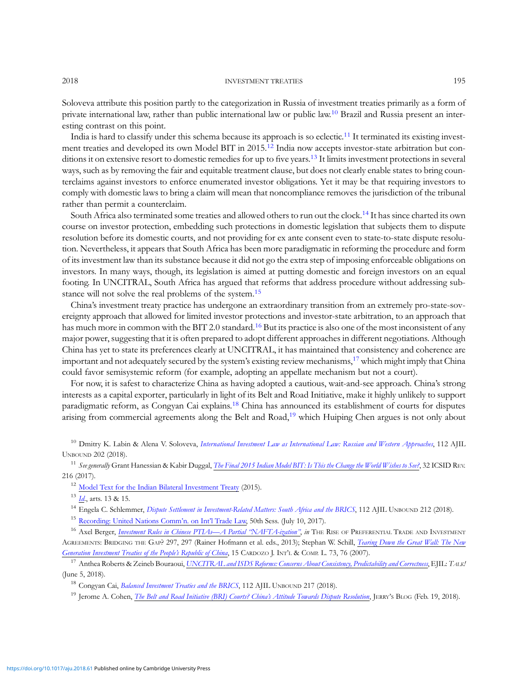Soloveva attribute this position partly to the categorization in Russia of investment treaties primarily as a form of private international law, rather than public international law or public law.<sup>10</sup> Brazil and Russia present an interesting contrast on this point.

India is hard to classify under this schema because its approach is so eclectic.<sup>11</sup> It terminated its existing investment treaties and developed its own Model BIT in 2015.<sup>12</sup> India now accepts investor-state arbitration but conditions it on extensive resort to domestic remedies for up to five years.<sup>13</sup> It limits investment protections in several ways, such as by removing the fair and equitable treatment clause, but does not clearly enable states to bring counterclaims against investors to enforce enumerated investor obligations. Yet it may be that requiring investors to comply with domestic laws to bring a claim will mean that noncompliance removes the jurisdiction of the tribunal rather than permit a counterclaim.

South Africa also terminated some treaties and allowed others to run out the clock.<sup>14</sup> It has since charted its own course on investor protection, embedding such protections in domestic legislation that subjects them to dispute resolution before its domestic courts, and not providing for ex ante consent even to state-to-state dispute resolution. Nevertheless, it appears that South Africa has been more paradigmatic in reforming the procedure and form of its investment law than its substance because it did not go the extra step of imposing enforceable obligations on investors. In many ways, though, its legislation is aimed at putting domestic and foreign investors on an equal footing. In UNCITRAL, South Africa has argued that reforms that address procedure without addressing substance will not solve the real problems of the system.<sup>15</sup>

China's investment treaty practice has undergone an extraordinary transition from an extremely pro-state-sovereignty approach that allowed for limited investor protections and investor-state arbitration, to an approach that has much more in common with the BIT 2.0 standard.<sup>16</sup> But its practice is also one of the most inconsistent of any major power, suggesting that it is often prepared to adopt different approaches in different negotiations. Although China has yet to state its preferences clearly at UNCITRAL, it has maintained that consistency and coherence are important and not adequately secured by the system's existing review mechanisms,<sup>17</sup> which might imply that China could favor semisystemic reform (for example, adopting an appellate mechanism but not a court).

For now, it is safest to characterize China as having adopted a cautious, wait-and-see approach. China's strong interests as a capital exporter, particularly in light of its Belt and Road Initiative, make it highly unlikely to support paradigmatic reform, as Congyan Cai explains.18 China has announced its establishment of courts for disputes arising from commercial agreements along the Belt and Road,<sup>19</sup> which Huiping Chen argues is not only about

 $^{10}$  Dmitry K. Labin & Alena V. Soloveva, *[International Investment Law as International Law: Russian and Western Approaches](https://doi.org/10.1017/aju.2018.58)*, 112 AJIL UNBOUND 202 (2018).

<sup>11</sup> See generally Grant Hanessian & Kabir Duggal, *The Final 2015 Indian Model BIT*: Is This the Change the World Wishes to See?, 32 ICSID REV. 216 (2017).

<sup>12</sup> [Model Text for the Indian Bilateral Investment Treaty](http://investmentpolicyhub.unctad.org/Download/TreatyFile/3560) (2015).

 $13$  *[Id](http://investmentpolicyhub.unctad.org/Download/TreatyFile/3560).*, arts. 13 & 15.

<sup>14</sup> Engela C. Schlemmer, *[Dispute Settlement in Investment-Related Matters: South Africa and the BRICS](https://doi.org/10.1017/aju.2018.63)*, 112 AJIL UNBOUND 212 (2018).

<sup>15</sup> [Recording: United Nations Comm](https://icms.unov.org/CarbonWeb/public/uncitral/speakerslog/1b00d406-0d09-4dec-a1ab-74cf6dcf8428)'n. on Int'l Trade Law, 50th Sess. (July 10, 2017).

<sup>16</sup> Axel Berger, *Investment Rules in Chinese PTLAs—A Partial "NAFTA-ization"*, *in* THE RISE OF PREFERENTIAL TRADE AND INVESTMENT AGREEMENTS: BRIDGING THE GAP? 297, 297 (Rainer Hofmann et al. eds., 2013); Stephan W. Schill, [Tearing Down the Great Wall: The New](https://heinonline.org/HOL/LandingPage?handle=hein.journals/cjic15&div=6&id=&page=) [Generation Investment Treaties of the People](https://heinonline.org/HOL/LandingPage?handle=hein.journals/cjic15&div=6&id=&page=)'s Republic of China, 15 CARDOZO J. INT'<sup>L</sup> & COMP. L. 73, 76 (2007).

<sup>17</sup> Anthea Roberts & Zeineb Bouraoui, [UNCITRAL and ISDS Reforms: Concerns About Consistency, Predictability and Correctness](https://www.ejiltalk.org/uncitral-and-isds-reforms-concerns-about-consistency-predictability-and-correctness/), EJIL: TALK! (June 5, 2018).

<sup>18</sup> Congyan Cai, *[Balanced Investment Treaties and the BRICS](https://doi.org/10.1017/aju.2018.64)*, 112 AJIL UNBOUND 217 (2018).

<sup>19</sup> Jerome A. Cohen, *[The Belt and Road Initiative \(BRI\) Courts? China](http://www.jeromecohen.net/jerrys-blog/the-bri-courts)'s Attitude Towards Dispute Resolution*, JERRY's BLOG (Feb. 19, 2018).